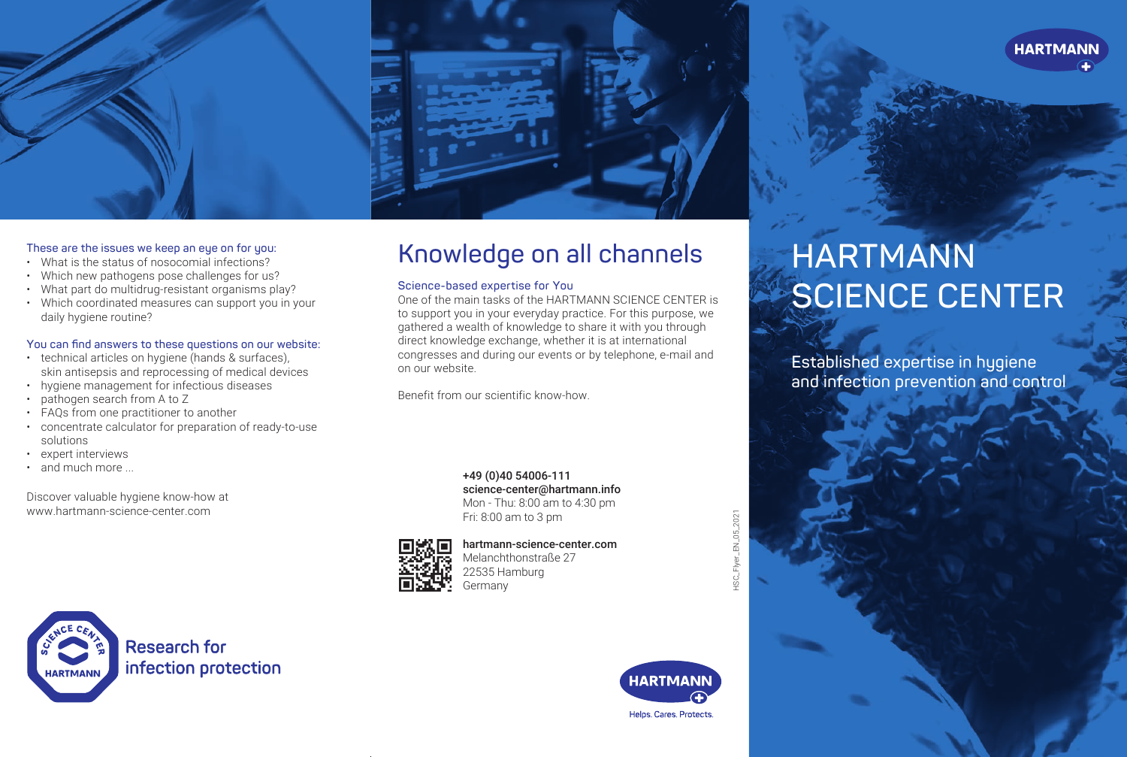



### **These are the issues we keep an eye on for you:**

- What is the status of nosocomial infections?
- Which new pathogens pose challenges for us?
- What part do multidrug-resistant organisms play?
- Which coordinated measures can support you in your daily hygiene routine?

### **You can find answers to these questions on our website:**

- technical articles on hygiene (hands & surfaces), skin antisepsis and reprocessing of medical devices
- hygiene management for infectious diseases
- pathogen search from A to Z
- FAQs from one practitioner to another
- concentrate calculator for preparation of ready-to-use solutions
- expert interviews
- and much more

Discover valuable hygiene know-how at www.hartmann-science-center.com

# **Knowledge on all channels**

### **Science-based expertise for You**

One of the main tasks of the HARTMANN SCIENCE CENTER is to support you in your everyday practice. For this purpose, we gathered a wealth of knowledge to share it with you through direct knowledge exchange, whether it is at international congresses and during our events or by telephone, e-mail and on our website.

Benefit from our scientific know-how.

+49 (0)40 54006-111 science-center@hartmann.info Mon - Thu: 8:00 am to 4:30 pm Fri: 8:00 am to 3 pm



hartmann-science-center.com

Melanchthonstraße 27 22535 Hamburg Germany

EN\_05\_2021 HSC\_Flyer\_EN\_05\_2021

# **HARTMANN SCIENCE CENTER**

**Established expertise in hygiene and infection prevention and control**